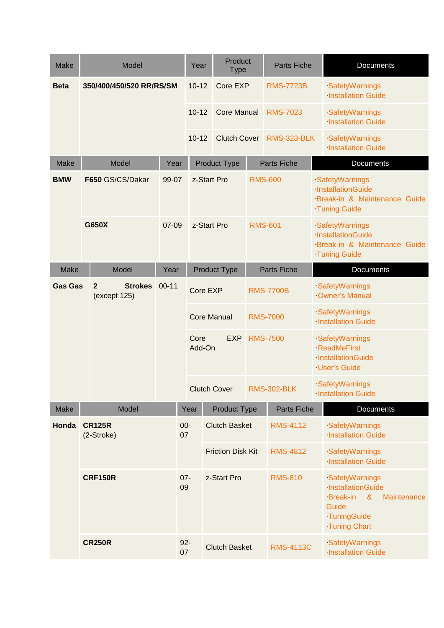| <b>Make</b>    | Model                                            |                          | Year                           |                                  | Product<br><b>Type</b>       |                          | <b>Parts Fiche</b> |                                         | Documents                                   |                                                                                                                                  |  |
|----------------|--------------------------------------------------|--------------------------|--------------------------------|----------------------------------|------------------------------|--------------------------|--------------------|-----------------------------------------|---------------------------------------------|----------------------------------------------------------------------------------------------------------------------------------|--|
| <b>Beta</b>    |                                                  | 350/400/450/520 RR/RS/SM |                                | $10 - 12$                        |                              | Core EXP                 |                    | <b>RMS-7723B</b>                        |                                             | SafetyWarnings<br><b>Installation Guide</b>                                                                                      |  |
|                |                                                  |                          |                                | $10 - 12$<br><b>Core Manual</b>  |                              | <b>RMS-7023</b>          |                    |                                         | SafetyWarnings<br><b>Installation Guide</b> |                                                                                                                                  |  |
|                |                                                  |                          |                                | $10 - 12$<br><b>Clutch Cover</b> |                              |                          | <b>RMS-323-BLK</b> |                                         | SafetyWarnings<br><b>Installation Guide</b> |                                                                                                                                  |  |
| <b>Make</b>    |                                                  | Model                    | Year                           |                                  |                              | <b>Product Type</b>      | <b>Parts Fiche</b> |                                         |                                             | Documents                                                                                                                        |  |
| <b>BMW</b>     |                                                  | F650 GS/CS/Dakar         | 99-07                          |                                  | z-Start Pro<br>z-Start Pro   |                          | <b>RMS-600</b>     |                                         |                                             | SafetyWarnings<br>InstallationGuide<br>Break-in & Maintenance Guide<br><b>Tuning Guide</b>                                       |  |
|                | G650X                                            |                          | 07-09                          |                                  |                              |                          |                    | <b>RMS-601</b>                          |                                             | SafetyWarnings<br>InstallationGuide<br>Break-in & Maintenance Guide<br><b>Tuning Guide</b>                                       |  |
| Make           |                                                  | Model                    | Year                           |                                  | <b>Product Type</b>          |                          |                    | <b>Parts Fiche</b>                      |                                             | Documents                                                                                                                        |  |
| <b>Gas Gas</b> | $\overline{2}$<br><b>Strokes</b><br>(except 125) | $00 - 11$                | Core EXP<br><b>Core Manual</b> |                                  | <b>RMS-7700B</b>             |                          |                    | SafetyWarnings<br><b>Owner's Manual</b> |                                             |                                                                                                                                  |  |
|                |                                                  |                          |                                |                                  |                              |                          |                    | <b>RMS-7000</b>                         |                                             | SafetyWarnings<br><b>Installation Guide</b>                                                                                      |  |
|                |                                                  |                          |                                |                                  | Core<br><b>EXP</b><br>Add-On |                          | <b>RMS-7500</b>    |                                         |                                             | SafetyWarnings<br><b>ReadMeFirst</b><br>InstallationGuide<br><b>User's Guide</b>                                                 |  |
|                |                                                  |                          |                                |                                  |                              | <b>Clutch Cover</b>      | <b>RMS-302-BLK</b> |                                         |                                             | SafetyWarnings<br><b>Installation Guide</b>                                                                                      |  |
| Make           |                                                  | Model                    |                                | Year                             |                              | <b>Product Type</b>      |                    | Parts Fiche                             |                                             | Documents                                                                                                                        |  |
| Honda          | <b>CR125R</b><br>(2-Stroke)                      |                          |                                | $00-$<br>07                      |                              | <b>Clutch Basket</b>     |                    | <b>RMS-4112</b>                         |                                             | SafetyWarnings<br><b>Installation Guide</b>                                                                                      |  |
|                |                                                  |                          |                                |                                  |                              | <b>Friction Disk Kit</b> |                    | <b>RMS-4812</b>                         |                                             | SafetyWarnings<br><b>Installation Guide</b>                                                                                      |  |
|                |                                                  | <b>CRF150R</b>           |                                | $07 -$<br>09                     | z-Start Pro                  |                          | <b>RMS-810</b>     |                                         |                                             | SafetyWarnings<br>InstallationGuide<br><b>Break-in</b><br>$\alpha$<br>Maintenance<br>Guide<br>TuningGuide<br><b>Tuning Chart</b> |  |
|                | <b>CR250R</b>                                    |                          |                                | $92 -$<br>07                     |                              | <b>Clutch Basket</b>     |                    | <b>RMS-4113C</b>                        |                                             | SafetyWarnings<br><b>Installation Guide</b>                                                                                      |  |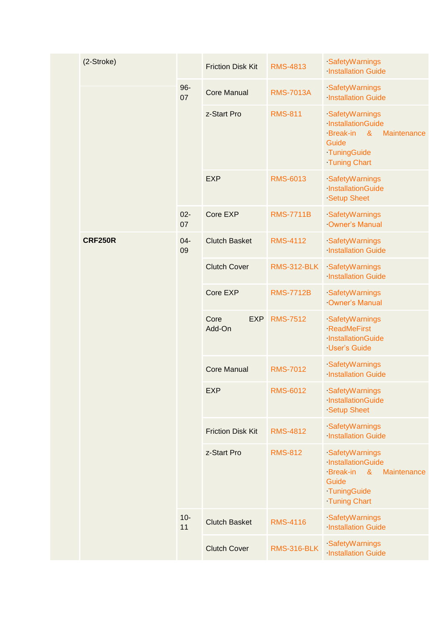|  | (2-Stroke)     |              | <b>Friction Disk Kit</b>     | <b>RMS-4813</b>    | SafetyWarnings<br><b>Installation Guide</b>                                                                                                   |
|--|----------------|--------------|------------------------------|--------------------|-----------------------------------------------------------------------------------------------------------------------------------------------|
|  |                | $96 -$<br>07 | <b>Core Manual</b>           | <b>RMS-7013A</b>   | SafetyWarnings<br><b>Installation Guide</b>                                                                                                   |
|  |                |              | z-Start Pro                  | <b>RMS-811</b>     | SafetyWarnings<br>InstallationGuide<br><b>Break-in</b><br>$\boldsymbol{\alpha}$<br>Maintenance<br>Guide<br>TuningGuide<br><b>Tuning Chart</b> |
|  |                |              | <b>EXP</b>                   | <b>RMS-6013</b>    | SafetyWarnings<br>InstallationGuide<br><b>Setup Sheet</b>                                                                                     |
|  |                | $02 -$<br>07 | Core EXP                     | <b>RMS-7711B</b>   | SafetyWarnings<br><b>Owner's Manual</b>                                                                                                       |
|  | <b>CRF250R</b> | $04 -$<br>09 | <b>Clutch Basket</b>         | <b>RMS-4112</b>    | SafetyWarnings<br><b>Installation Guide</b>                                                                                                   |
|  |                |              | <b>Clutch Cover</b>          | <b>RMS-312-BLK</b> | SafetyWarnings<br><b>Installation Guide</b>                                                                                                   |
|  |                |              | Core EXP                     | <b>RMS-7712B</b>   | SafetyWarnings<br>Owner's Manual                                                                                                              |
|  |                |              | <b>EXP</b><br>Core<br>Add-On | <b>RMS-7512</b>    | SafetyWarnings<br><b>ReadMeFirst</b><br>InstallationGuide<br><b>User's Guide</b>                                                              |
|  |                |              | <b>Core Manual</b>           | <b>RMS-7012</b>    | SafetyWarnings<br><b>Installation Guide</b>                                                                                                   |
|  |                |              | <b>EXP</b>                   | <b>RMS-6012</b>    | SafetyWarnings<br>InstallationGuide<br><b>Setup Sheet</b>                                                                                     |
|  |                |              | <b>Friction Disk Kit</b>     | <b>RMS-4812</b>    | SafetyWarnings<br><b>Installation Guide</b>                                                                                                   |
|  |                |              | z-Start Pro                  | <b>RMS-812</b>     | SafetyWarnings<br>InstallationGuide<br><b>Break-in</b><br>$\alpha$<br>Maintenance<br>Guide<br>TuningGuide<br><b>Tuning Chart</b>              |
|  |                | $10-$<br>11  | <b>Clutch Basket</b>         | <b>RMS-4116</b>    | SafetyWarnings<br><b>Installation Guide</b>                                                                                                   |
|  |                |              | <b>Clutch Cover</b>          | <b>RMS-316-BLK</b> | SafetyWarnings<br><b>Installation Guide</b>                                                                                                   |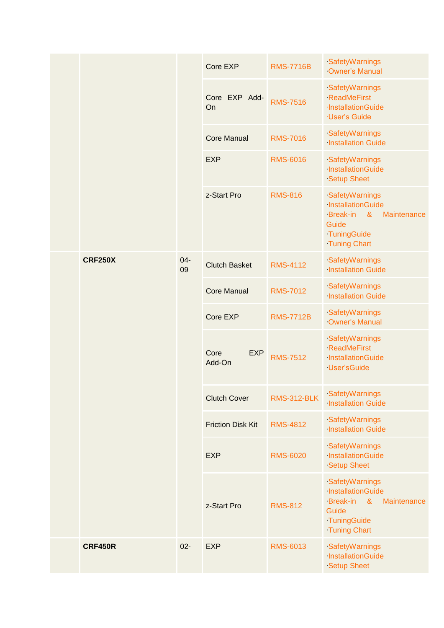|  |                |              | Core EXP                     | <b>RMS-7716B</b>   | SafetyWarnings<br><b>Owner's Manual</b>                                                                         |
|--|----------------|--------------|------------------------------|--------------------|-----------------------------------------------------------------------------------------------------------------|
|  |                |              | Core EXP Add-<br>On          | <b>RMS-7516</b>    | SafetyWarnings<br><b>ReadMeFirst</b><br>·InstallationGuide<br>·User's Guide                                     |
|  |                |              | <b>Core Manual</b>           | <b>RMS-7016</b>    | SafetyWarnings<br><b>Installation Guide</b>                                                                     |
|  |                |              | <b>EXP</b>                   | <b>RMS-6016</b>    | SafetyWarnings<br>InstallationGuide<br><b>Setup Sheet</b>                                                       |
|  |                |              | z-Start Pro                  | <b>RMS-816</b>     | SafetyWarnings<br>InstallationGuide<br>Break-in &<br>Maintenance<br>Guide<br>TuningGuide<br><b>Tuning Chart</b> |
|  | <b>CRF250X</b> | $04 -$<br>09 | <b>Clutch Basket</b>         | <b>RMS-4112</b>    | SafetyWarnings<br><b>Installation Guide</b>                                                                     |
|  |                |              | <b>Core Manual</b>           | <b>RMS-7012</b>    | SafetyWarnings<br><b>Installation Guide</b>                                                                     |
|  |                |              | Core EXP                     | <b>RMS-7712B</b>   | SafetyWarnings<br><b>Owner's Manual</b>                                                                         |
|  |                |              | Core<br><b>EXP</b><br>Add-On | <b>RMS-7512</b>    | SafetyWarnings<br><b>ReadMeFirst</b><br>InstallationGuide<br>User'sGuide                                        |
|  |                |              | <b>Clutch Cover</b>          | <b>RMS-312-BLK</b> | SafetyWarnings<br><b>Installation Guide</b>                                                                     |
|  |                |              | <b>Friction Disk Kit</b>     | <b>RMS-4812</b>    | SafetyWarnings<br><b>Installation Guide</b>                                                                     |
|  |                |              | <b>EXP</b>                   | <b>RMS-6020</b>    | SafetyWarnings<br>InstallationGuide<br><b>Setup Sheet</b>                                                       |
|  |                |              | z-Start Pro                  | <b>RMS-812</b>     | SafetyWarnings<br>InstallationGuide<br>Break-in &<br>Maintenance<br>Guide<br>TuningGuide<br><b>Tuning Chart</b> |
|  | <b>CRF450R</b> | $02 -$       | <b>EXP</b>                   | <b>RMS-6013</b>    | SafetyWarnings<br>InstallationGuide<br><b>Setup Sheet</b>                                                       |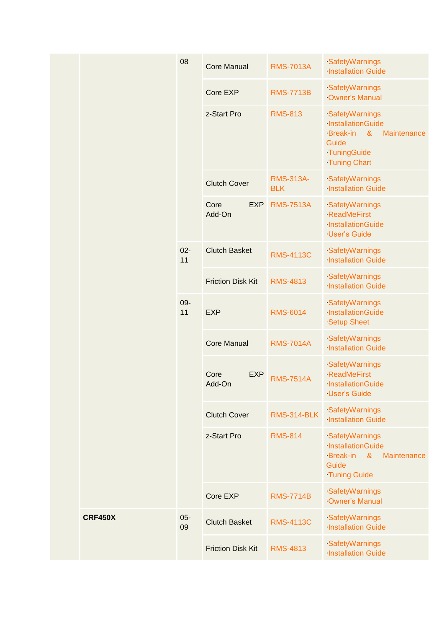|  |                | 08           | <b>Core Manual</b>           | <b>RMS-7013A</b>               | SafetyWarnings<br><b>Installation Guide</b>                                                                                      |
|--|----------------|--------------|------------------------------|--------------------------------|----------------------------------------------------------------------------------------------------------------------------------|
|  |                |              | Core EXP                     | <b>RMS-7713B</b>               | SafetyWarnings<br><b>Owner's Manual</b>                                                                                          |
|  |                |              | z-Start Pro                  | <b>RMS-813</b>                 | SafetyWarnings<br>InstallationGuide<br><b>Break-in</b><br>$\alpha$<br>Maintenance<br>Guide<br>TuningGuide<br><b>Tuning Chart</b> |
|  |                |              | <b>Clutch Cover</b>          | <b>RMS-313A-</b><br><b>BLK</b> | SafetyWarnings<br><b>Installation Guide</b>                                                                                      |
|  |                |              | <b>EXP</b><br>Core<br>Add-On | <b>RMS-7513A</b>               | SafetyWarnings<br><b>ReadMeFirst</b><br>InstallationGuide<br><b>User's Guide</b>                                                 |
|  |                | $02 -$<br>11 | <b>Clutch Basket</b>         | <b>RMS-4113C</b>               | SafetyWarnings<br><b>Installation Guide</b>                                                                                      |
|  |                |              | <b>Friction Disk Kit</b>     | <b>RMS-4813</b>                | SafetyWarnings<br><b>Installation Guide</b>                                                                                      |
|  |                | 09-<br>11    | <b>EXP</b>                   | <b>RMS-6014</b>                | SafetyWarnings<br>InstallationGuide<br>Setup Sheet                                                                               |
|  |                |              | <b>Core Manual</b>           | <b>RMS-7014A</b>               | SafetyWarnings<br><b>Installation Guide</b>                                                                                      |
|  |                |              | Core<br><b>EXP</b><br>Add-On | <b>RMS-7514A</b>               | SafetyWarnings<br><b>ReadMeFirst</b><br><b>InstallationGuide</b><br><b>User's Guide</b>                                          |
|  |                |              | <b>Clutch Cover</b>          | <b>RMS-314-BLK</b>             | SafetyWarnings<br><b>Installation Guide</b>                                                                                      |
|  |                |              | z-Start Pro                  | <b>RMS-814</b>                 | SafetyWarnings<br>InstallationGuide<br>Break-in &<br>Maintenance<br>Guide<br><b>Tuning Guide</b>                                 |
|  |                |              | Core EXP                     | <b>RMS-7714B</b>               | SafetyWarnings<br>Owner's Manual                                                                                                 |
|  | <b>CRF450X</b> | $05 -$<br>09 | <b>Clutch Basket</b>         | <b>RMS-4113C</b>               | SafetyWarnings<br><b>Installation Guide</b>                                                                                      |
|  |                |              | <b>Friction Disk Kit</b>     | <b>RMS-4813</b>                | SafetyWarnings<br><b>Installation Guide</b>                                                                                      |
|  |                |              |                              |                                |                                                                                                                                  |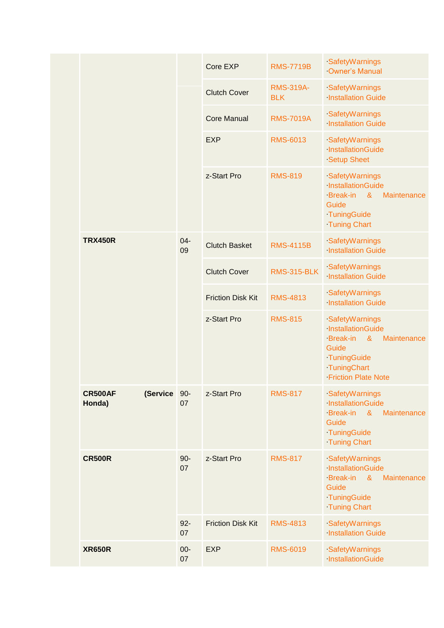|                                      |              | Core EXP                 | <b>RMS-7719B</b>               | SafetyWarnings<br><b>Owner's Manual</b>                                                                                                                             |
|--------------------------------------|--------------|--------------------------|--------------------------------|---------------------------------------------------------------------------------------------------------------------------------------------------------------------|
|                                      |              | <b>Clutch Cover</b>      | <b>RMS-319A-</b><br><b>BLK</b> | SafetyWarnings<br><b>Installation Guide</b>                                                                                                                         |
|                                      |              | <b>Core Manual</b>       | <b>RMS-7019A</b>               | SafetyWarnings<br><b>Installation Guide</b>                                                                                                                         |
|                                      |              | <b>EXP</b>               | <b>RMS-6013</b>                | SafetyWarnings<br>InstallationGuide<br><b>Setup Sheet</b>                                                                                                           |
|                                      |              | z-Start Pro              | <b>RMS-819</b>                 | SafetyWarnings<br>InstallationGuide<br><b>Break-in</b><br>$\boldsymbol{\alpha}$<br>Maintenance<br>Guide<br>TuningGuide<br><b>Tuning Chart</b>                       |
| <b>TRX450R</b>                       | $04 -$<br>09 | <b>Clutch Basket</b>     | <b>RMS-4115B</b>               | SafetyWarnings<br><b>Installation Guide</b>                                                                                                                         |
|                                      |              | <b>Clutch Cover</b>      | <b>RMS-315-BLK</b>             | SafetyWarnings<br><b>Installation Guide</b>                                                                                                                         |
|                                      |              | <b>Friction Disk Kit</b> | <b>RMS-4813</b>                | SafetyWarnings<br><b>Installation Guide</b>                                                                                                                         |
|                                      |              | z-Start Pro              | <b>RMS-815</b>                 | SafetyWarnings<br>InstallationGuide<br><b>Break-in</b><br>$\boldsymbol{\alpha}$<br>Maintenance<br>Guide<br>TuningGuide<br>TuningChart<br><b>Friction Plate Note</b> |
| <b>CR500AF</b><br>(Service<br>Honda) | $90-$<br>07  | z-Start Pro              | <b>RMS-817</b>                 | SafetyWarnings<br>InstallationGuide<br><b>Break-in</b><br>$\alpha$<br>Maintenance<br>Guide<br>TuningGuide<br><b>Tuning Chart</b>                                    |
| <b>CR500R</b>                        | $90-$<br>07  | z-Start Pro              | <b>RMS-817</b>                 | SafetyWarnings<br>InstallationGuide<br><b>Break-in</b><br>$\boldsymbol{\alpha}$<br>Maintenance<br>Guide<br>TuningGuide<br><b>Tuning Chart</b>                       |
|                                      | $92 -$<br>07 | <b>Friction Disk Kit</b> | <b>RMS-4813</b>                | SafetyWarnings<br><b>Installation Guide</b>                                                                                                                         |
| <b>XR650R</b>                        | $00-$<br>07  | <b>EXP</b>               | <b>RMS-6019</b>                | SafetyWarnings<br>InstallationGuide                                                                                                                                 |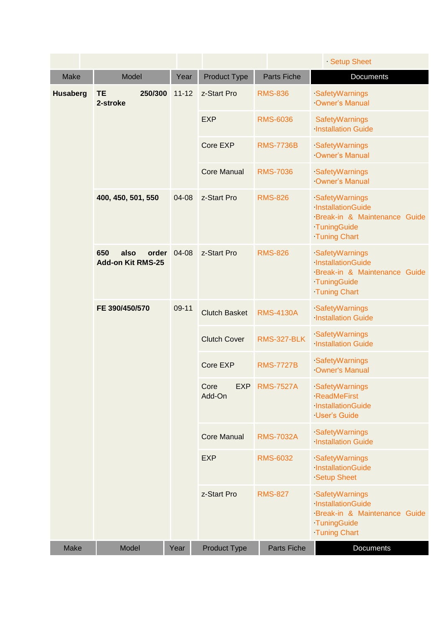|                 |                                                  |           |                              |                    | Setup Sheet                                                                                               |
|-----------------|--------------------------------------------------|-----------|------------------------------|--------------------|-----------------------------------------------------------------------------------------------------------|
| <b>Make</b>     | Model                                            | Year      | Product Type                 | <b>Parts Fiche</b> | <b>Documents</b>                                                                                          |
| <b>Husaberg</b> | <b>TE</b><br>250/300<br>2-stroke                 | $11 - 12$ | z-Start Pro                  | <b>RMS-836</b>     | SafetyWarnings<br><b>Owner's Manual</b>                                                                   |
|                 |                                                  |           | <b>EXP</b>                   | <b>RMS-6036</b>    | <b>SafetyWarnings</b><br><b>Installation Guide</b>                                                        |
|                 |                                                  |           | Core EXP                     | <b>RMS-7736B</b>   | SafetyWarnings<br><b>Owner's Manual</b>                                                                   |
|                 |                                                  |           | <b>Core Manual</b>           | <b>RMS-7036</b>    | SafetyWarnings<br><b>Owner's Manual</b>                                                                   |
|                 | 400, 450, 501, 550                               | 04-08     | z-Start Pro                  | <b>RMS-826</b>     | SafetyWarnings<br>InstallationGuide<br>Break-in & Maintenance Guide<br>TuningGuide<br><b>Tuning Chart</b> |
|                 | 650<br>also<br>order<br><b>Add-on Kit RMS-25</b> | 04-08     | z-Start Pro                  | <b>RMS-826</b>     | SafetyWarnings<br>InstallationGuide<br>Break-in & Maintenance Guide<br>TuningGuide<br><b>Tuning Chart</b> |
|                 | FE 390/450/570                                   | 09-11     | <b>Clutch Basket</b>         | <b>RMS-4130A</b>   | SafetyWarnings<br><b>Installation Guide</b>                                                               |
|                 |                                                  |           | <b>Clutch Cover</b>          | <b>RMS-327-BLK</b> | SafetyWarnings<br><b>Installation Guide</b>                                                               |
|                 |                                                  |           | Core EXP                     | <b>RMS-7727B</b>   | SafetyWarnings<br><b>Owner's Manual</b>                                                                   |
|                 |                                                  |           | Core<br><b>EXP</b><br>Add-On | <b>RMS-7527A</b>   | SafetyWarnings<br><b>ReadMeFirst</b><br>InstallationGuide<br><b>User's Guide</b>                          |
|                 |                                                  |           | <b>Core Manual</b>           | <b>RMS-7032A</b>   | SafetyWarnings<br><b>Installation Guide</b>                                                               |
|                 |                                                  |           | <b>EXP</b>                   | <b>RMS-6032</b>    | SafetyWarnings<br>InstallationGuide<br><b>Setup Sheet</b>                                                 |
|                 |                                                  |           | z-Start Pro                  | <b>RMS-827</b>     | SafetyWarnings<br>InstallationGuide<br>Break-in & Maintenance Guide<br>TuningGuide<br><b>Tuning Chart</b> |
| <b>Make</b>     | Model                                            | Year      | <b>Product Type</b>          | Parts Fiche        | Documents                                                                                                 |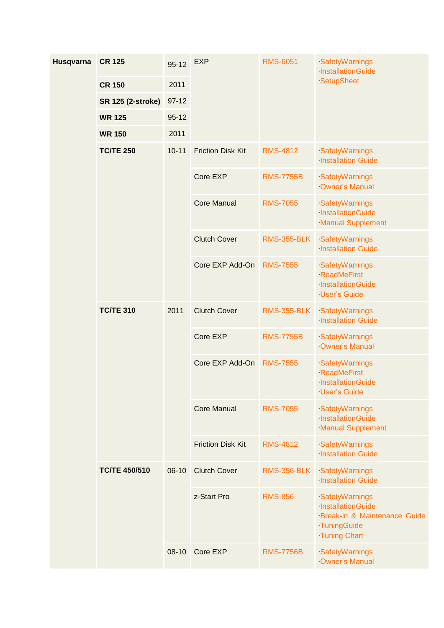| Husqvarna | <b>CR 125</b>            | $95 - 12$ | <b>EXP</b>               | <b>RMS-6051</b>    | SafetyWarnings<br>InstallationGuide                                                                       |  |
|-----------|--------------------------|-----------|--------------------------|--------------------|-----------------------------------------------------------------------------------------------------------|--|
|           | <b>CR 150</b>            | 2011      |                          |                    | SetupSheet                                                                                                |  |
|           | <b>SR 125 (2-stroke)</b> | $97-12$   |                          |                    |                                                                                                           |  |
|           | <b>WR 125</b>            | $95 - 12$ |                          |                    |                                                                                                           |  |
|           | 2011<br><b>WR 150</b>    |           |                          |                    |                                                                                                           |  |
|           | <b>TC/TE 250</b>         | $10 - 11$ | <b>Friction Disk Kit</b> | <b>RMS-4812</b>    | SafetyWarnings<br><b>Installation Guide</b>                                                               |  |
|           |                          |           | Core EXP                 | <b>RMS-7755B</b>   | SafetyWarnings<br><b>Owner's Manual</b>                                                                   |  |
|           |                          |           | <b>Core Manual</b>       | <b>RMS-7055</b>    | SafetyWarnings<br>InstallationGuide<br><b>Manual Supplement</b>                                           |  |
|           |                          |           | <b>Clutch Cover</b>      | <b>RMS-355-BLK</b> | SafetyWarnings<br><b>Installation Guide</b>                                                               |  |
|           |                          |           | Core EXP Add-On          | <b>RMS-7555</b>    | SafetyWarnings<br><b>ReadMeFirst</b><br>InstallationGuide<br><b>User's Guide</b>                          |  |
|           | <b>TC/TE 310</b>         | 2011      | <b>Clutch Cover</b>      | <b>RMS-355-BLK</b> | SafetyWarnings<br><b>Installation Guide</b>                                                               |  |
|           |                          |           | Core EXP                 | <b>RMS-7755B</b>   | SafetyWarnings<br>Owner's Manual                                                                          |  |
|           |                          |           | Core EXP Add-On          | <b>RMS-7555</b>    | SafetyWarnings<br><b>ReadMeFirst</b><br>InstallationGuide<br>User's Guide                                 |  |
|           |                          |           | <b>Core Manual</b>       | <b>RMS-7055</b>    | SafetyWarnings<br>InstallationGuide<br><b>Manual Supplement</b>                                           |  |
|           |                          |           | <b>Friction Disk Kit</b> | <b>RMS-4812</b>    | SafetyWarnings<br><b>Installation Guide</b>                                                               |  |
|           | <b>TC/TE 450/510</b>     | $06-10$   | <b>Clutch Cover</b>      | <b>RMS-356-BLK</b> | SafetyWarnings<br><b>Installation Guide</b>                                                               |  |
|           |                          |           | z-Start Pro              | <b>RMS-856</b>     | SafetyWarnings<br>InstallationGuide<br>Break-in & Maintenance Guide<br>TuningGuide<br><b>Tuning Chart</b> |  |
|           |                          | $08-10$   | Core EXP                 | <b>RMS-7756B</b>   | SafetyWarnings<br>Owner's Manual                                                                          |  |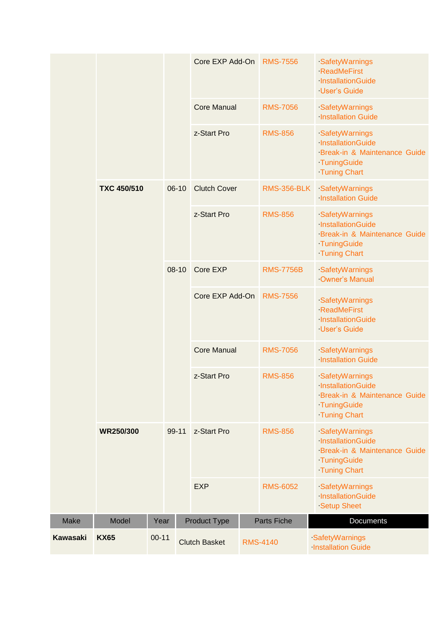|             |                    |           |         | Core EXP Add-On      |  | <b>RMS-7556</b>    | SafetyWarnings<br><b>ReadMeFirst</b><br>InstallationGuide<br><b>User's Guide</b>                          |
|-------------|--------------------|-----------|---------|----------------------|--|--------------------|-----------------------------------------------------------------------------------------------------------|
|             |                    |           |         | <b>Core Manual</b>   |  | <b>RMS-7056</b>    | SafetyWarnings<br><b>Installation Guide</b>                                                               |
|             |                    |           |         | z-Start Pro          |  | <b>RMS-856</b>     | SafetyWarnings<br>InstallationGuide<br>Break-in & Maintenance Guide<br>TuningGuide<br><b>Tuning Chart</b> |
|             | <b>TXC 450/510</b> |           | $06-10$ | <b>Clutch Cover</b>  |  | <b>RMS-356-BLK</b> | SafetyWarnings<br><b>Installation Guide</b>                                                               |
|             |                    |           |         | z-Start Pro          |  | <b>RMS-856</b>     | SafetyWarnings<br>InstallationGuide<br>Break-in & Maintenance Guide<br>TuningGuide<br><b>Tuning Chart</b> |
|             |                    |           | $08-10$ | Core EXP             |  | <b>RMS-7756B</b>   | SafetyWarnings<br>Owner's Manual                                                                          |
|             |                    |           |         | Core EXP Add-On      |  | <b>RMS-7556</b>    | SafetyWarnings<br><b>ReadMeFirst</b><br>InstallationGuide<br><b>User's Guide</b>                          |
|             |                    |           |         | <b>Core Manual</b>   |  | <b>RMS-7056</b>    | SafetyWarnings<br><b>Installation Guide</b>                                                               |
|             |                    |           |         | z-Start Pro          |  | <b>RMS-856</b>     | SafetyWarnings<br>InstallationGuide<br>Break-in & Maintenance Guide<br>TuningGuide<br><b>Tuning Chart</b> |
|             | WR250/300          |           | 99-11   | z-Start Pro          |  | <b>RMS-856</b>     | SafetyWarnings<br>InstallationGuide<br>Break-in & Maintenance Guide<br>TuningGuide<br><b>Tuning Chart</b> |
|             |                    |           |         | <b>EXP</b>           |  | <b>RMS-6052</b>    | SafetyWarnings<br>InstallationGuide<br><b>Setup Sheet</b>                                                 |
| <b>Make</b> | Model              | Year      |         | <b>Product Type</b>  |  | Parts Fiche        | Documents                                                                                                 |
| Kawasaki    | <b>KX65</b>        | $00 - 11$ |         | <b>Clutch Basket</b> |  | <b>RMS-4140</b>    | SafetyWarnings<br><b>Installation Guide</b>                                                               |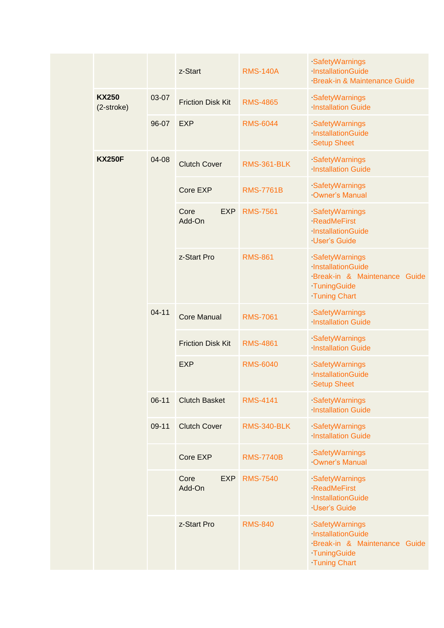|  |                            |           | z-Start                      | <b>RMS-140A</b>    | SafetyWarnings<br>InstallationGuide<br><b>Break-in &amp; Maintenance Guide</b>                               |
|--|----------------------------|-----------|------------------------------|--------------------|--------------------------------------------------------------------------------------------------------------|
|  | <b>KX250</b><br>(2-stroke) | 03-07     | <b>Friction Disk Kit</b>     | <b>RMS-4865</b>    | SafetyWarnings<br><b>Installation Guide</b>                                                                  |
|  |                            | 96-07     | <b>EXP</b>                   | <b>RMS-6044</b>    | SafetyWarnings<br>InstallationGuide<br><b>Setup Sheet</b>                                                    |
|  | <b>KX250F</b>              | 04-08     | <b>Clutch Cover</b>          | <b>RMS-361-BLK</b> | SafetyWarnings<br><b>Installation Guide</b>                                                                  |
|  |                            |           | Core EXP                     | <b>RMS-7761B</b>   | SafetyWarnings<br>Owner's Manual                                                                             |
|  |                            |           | Core<br><b>EXP</b><br>Add-On | <b>RMS-7561</b>    | SafetyWarnings<br><b>ReadMeFirst</b><br>InstallationGuide<br><b>User's Guide</b>                             |
|  |                            |           | z-Start Pro                  | <b>RMS-861</b>     | SafetyWarnings<br>InstallationGuide<br>Break-in & Maintenance<br>Guide<br>TuningGuide<br><b>Tuning Chart</b> |
|  |                            | $04 - 11$ | <b>Core Manual</b>           | <b>RMS-7061</b>    | SafetyWarnings<br><b>Installation Guide</b>                                                                  |
|  |                            |           | <b>Friction Disk Kit</b>     | <b>RMS-4861</b>    | SafetyWarnings<br><b>Installation Guide</b>                                                                  |
|  |                            |           | <b>EXP</b>                   | <b>RMS-6040</b>    | SafetyWarnings<br>InstallationGuide<br><b>Setup Sheet</b>                                                    |
|  |                            | $06-11$   | <b>Clutch Basket</b>         | <b>RMS-4141</b>    | SafetyWarnings<br><b>Installation Guide</b>                                                                  |
|  |                            | 09-11     | <b>Clutch Cover</b>          | <b>RMS-340-BLK</b> | SafetyWarnings<br><b>Installation Guide</b>                                                                  |
|  |                            |           | Core EXP                     | <b>RMS-7740B</b>   | SafetyWarnings<br>Owner's Manual                                                                             |
|  |                            |           | Core<br><b>EXP</b><br>Add-On | <b>RMS-7540</b>    | SafetyWarnings<br><b>ReadMeFirst</b><br>InstallationGuide<br><b>User's Guide</b>                             |
|  |                            |           | z-Start Pro                  | <b>RMS-840</b>     | SafetyWarnings<br>InstallationGuide<br>Break-in & Maintenance<br>Guide<br>TuningGuide<br><b>Tuning Chart</b> |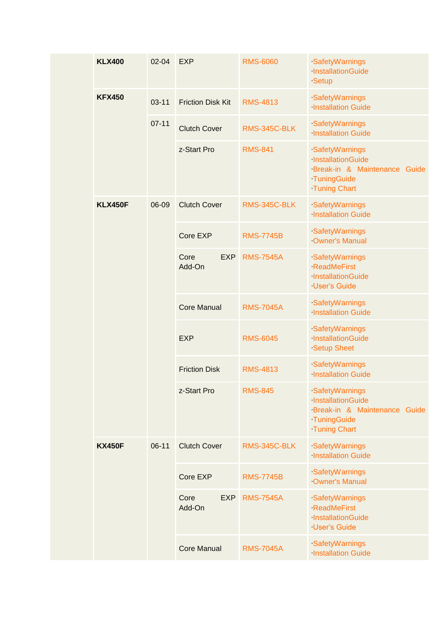|  | <b>KLX400</b>  | $02 - 04$ | <b>EXP</b>                   | <b>RMS-6060</b>  | SafetyWarnings<br>InstallationGuide<br>Setup                                                              |
|--|----------------|-----------|------------------------------|------------------|-----------------------------------------------------------------------------------------------------------|
|  | <b>KFX450</b>  | $03 - 11$ | <b>Friction Disk Kit</b>     | <b>RMS-4813</b>  | SafetyWarnings<br><b>Installation Guide</b>                                                               |
|  |                | $07 - 11$ | <b>Clutch Cover</b>          | RMS-345C-BLK     | SafetyWarnings<br><b>Installation Guide</b>                                                               |
|  |                |           | z-Start Pro                  | <b>RMS-841</b>   | SafetyWarnings<br>InstallationGuide<br>Break-in & Maintenance Guide<br>TuningGuide<br><b>Tuning Chart</b> |
|  | <b>KLX450F</b> | 06-09     | <b>Clutch Cover</b>          | RMS-345C-BLK     | SafetyWarnings<br><b>Installation Guide</b>                                                               |
|  |                |           | Core EXP                     | <b>RMS-7745B</b> | SafetyWarnings<br><b>Owner's Manual</b>                                                                   |
|  |                |           | Core<br><b>EXP</b><br>Add-On | <b>RMS-7545A</b> | SafetyWarnings<br><b>ReadMeFirst</b><br>InstallationGuide<br><b>User's Guide</b>                          |
|  |                |           | <b>Core Manual</b>           | <b>RMS-7045A</b> | SafetyWarnings<br><b>Installation Guide</b>                                                               |
|  |                |           | <b>EXP</b>                   | <b>RMS-6045</b>  | SafetyWarnings<br>InstallationGuide<br><b>Setup Sheet</b>                                                 |
|  |                |           | <b>Friction Disk</b>         | <b>RMS-4813</b>  | SafetyWarnings<br><b>Installation Guide</b>                                                               |
|  |                |           | z-Start Pro                  | <b>RMS-845</b>   | SafetyWarnings<br>InstallationGuide<br>Break-in & Maintenance Guide<br>TuningGuide<br><b>Tuning Chart</b> |
|  | <b>KX450F</b>  | $06 - 11$ | <b>Clutch Cover</b>          | RMS-345C-BLK     | SafetyWarnings<br><b>Installation Guide</b>                                                               |
|  |                |           | Core EXP                     | <b>RMS-7745B</b> | SafetyWarnings<br><b>Owner's Manual</b>                                                                   |
|  |                |           | Core<br><b>EXP</b><br>Add-On | <b>RMS-7545A</b> | SafetyWarnings<br><b>ReadMeFirst</b><br>InstallationGuide<br><b>User's Guide</b>                          |
|  |                |           | <b>Core Manual</b>           | <b>RMS-7045A</b> | SafetyWarnings<br><b>Installation Guide</b>                                                               |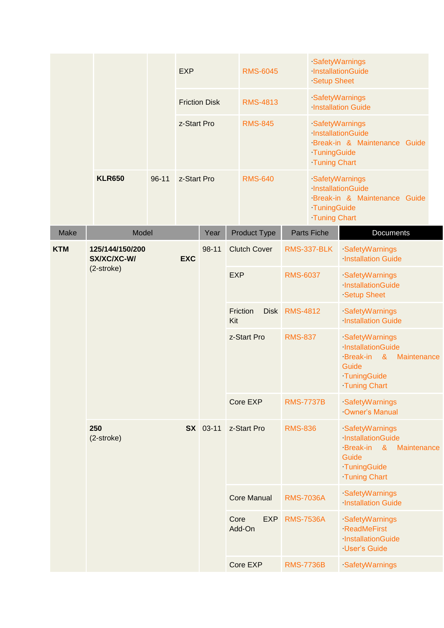|             |                                              |           | <b>EXP</b>      |                      |                                | <b>RMS-6045</b>     |                  | <b>Setup Sheet</b>                                                                                                               | SafetyWarnings<br>InstallationGuide                                        |
|-------------|----------------------------------------------|-----------|-----------------|----------------------|--------------------------------|---------------------|------------------|----------------------------------------------------------------------------------------------------------------------------------|----------------------------------------------------------------------------|
|             |                                              |           |                 | <b>Friction Disk</b> |                                | <b>RMS-4813</b>     |                  |                                                                                                                                  | SafetyWarnings<br><b>Installation Guide</b>                                |
|             |                                              |           | z-Start Pro     |                      |                                | <b>RMS-845</b>      |                  | TuningGuide<br><b>Tuning Chart</b>                                                                                               | SafetyWarnings<br>InstallationGuide<br>Break-in & Maintenance Guide        |
|             | <b>KLR650</b>                                | $96 - 11$ |                 | z-Start Pro          |                                | <b>RMS-640</b>      |                  | TuningGuide<br><b>Tuning Chart</b>                                                                                               | SafetyWarnings<br><b>InstallationGuide</b><br>Break-in & Maintenance Guide |
| <b>Make</b> | Model                                        |           |                 | Year                 |                                | Product Type        |                  | <b>Parts Fiche</b>                                                                                                               | Documents                                                                  |
| <b>KTM</b>  | 125/144/150/200<br>SX/XC/XC-W/<br><b>EXC</b> |           |                 | 98-11                |                                | <b>Clutch Cover</b> |                  | <b>RMS-337-BLK</b>                                                                                                               | SafetyWarnings<br><b>Installation Guide</b>                                |
|             | $(2\text{-stroke})$                          |           |                 | <b>EXP</b>           |                                | <b>RMS-6037</b>     |                  | SafetyWarnings<br>InstallationGuide<br><b>Setup Sheet</b>                                                                        |                                                                            |
|             |                                              |           |                 |                      | Friction<br><b>Disk</b><br>Kit |                     | <b>RMS-4812</b>  |                                                                                                                                  | SafetyWarnings<br><b>Installation Guide</b>                                |
|             |                                              |           |                 |                      | z-Start Pro                    | <b>RMS-837</b>      |                  | SafetyWarnings<br>InstallationGuide<br><b>Break-in</b><br>$\alpha$<br>Maintenance<br>Guide<br>TuningGuide<br><b>Tuning Chart</b> |                                                                            |
|             |                                              |           |                 |                      |                                | Core EXP            | <b>RMS-7737B</b> |                                                                                                                                  | SafetyWarnings<br>Owner's Manual                                           |
|             | 250<br>(2-stroke)                            |           | <b>SX</b> 03-11 | z-Start Pro          |                                | <b>RMS-836</b>      |                  | SafetyWarnings<br>InstallationGuide<br>Break-in &<br>Maintenance<br>Guide<br>TuningGuide<br><b>Tuning Chart</b>                  |                                                                            |
|             |                                              |           |                 |                      |                                | <b>Core Manual</b>  | <b>RMS-7036A</b> |                                                                                                                                  | SafetyWarnings<br><b>Installation Guide</b>                                |
|             |                                              |           |                 | Core                 | <b>EXP</b><br>Add-On           | <b>RMS-7536A</b>    |                  | SafetyWarnings<br><b>ReadMeFirst</b><br>InstallationGuide<br><b>User's Guide</b>                                                 |                                                                            |
|             |                                              |           |                 |                      | Core EXP                       | <b>RMS-7736B</b>    |                  | SafetyWarnings                                                                                                                   |                                                                            |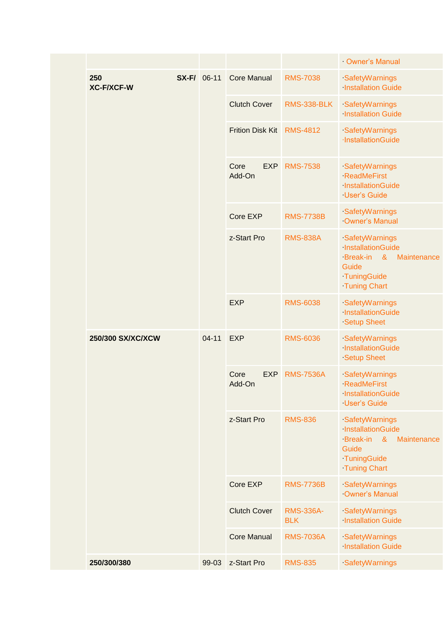|                          |                    |           |                              |                                | Owner's Manual                                                                                                                   |
|--------------------------|--------------------|-----------|------------------------------|--------------------------------|----------------------------------------------------------------------------------------------------------------------------------|
| 250<br><b>XC-F/XCF-W</b> | <b>SX-F/</b> 06-11 |           | <b>Core Manual</b>           | <b>RMS-7038</b>                | SafetyWarnings<br><b>Installation Guide</b>                                                                                      |
|                          |                    |           | <b>Clutch Cover</b>          | <b>RMS-338-BLK</b>             | SafetyWarnings<br><b>Installation Guide</b>                                                                                      |
|                          |                    |           | <b>Frition Disk Kit</b>      | <b>RMS-4812</b>                | SafetyWarnings<br>·InstallationGuide                                                                                             |
|                          |                    |           | Core<br><b>EXP</b><br>Add-On | <b>RMS-7538</b>                | SafetyWarnings<br><b>ReadMeFirst</b><br>InstallationGuide<br><b>User's Guide</b>                                                 |
|                          |                    |           | Core EXP                     | <b>RMS-7738B</b>               | SafetyWarnings<br>Owner's Manual                                                                                                 |
|                          |                    |           | z-Start Pro                  | <b>RMS-838A</b>                | SafetyWarnings<br>InstallationGuide<br><b>Break-in</b><br>$\alpha$<br>Maintenance<br>Guide<br>TuningGuide<br><b>Tuning Chart</b> |
|                          |                    |           | <b>EXP</b>                   | <b>RMS-6038</b>                | SafetyWarnings<br>InstallationGuide<br><b>Setup Sheet</b>                                                                        |
| 250/300 SX/XC/XCW        |                    | $04 - 11$ | <b>EXP</b>                   | <b>RMS-6036</b>                | SafetyWarnings<br>InstallationGuide<br><b>Setup Sheet</b>                                                                        |
|                          |                    |           | <b>EXP</b><br>Core<br>Add-On | <b>RMS-7536A</b>               | SafetyWarnings<br><b>ReadMeFirst</b><br>InstallationGuide<br><b>User's Guide</b>                                                 |
|                          |                    |           | z-Start Pro                  | <b>RMS-836</b>                 | SafetyWarnings<br>InstallationGuide<br>Break-in<br>$\alpha$<br>Maintenance<br>Guide<br>TuningGuide<br><b>Tuning Chart</b>        |
|                          |                    |           | Core EXP                     | <b>RMS-7736B</b>               | SafetyWarnings<br>Owner's Manual                                                                                                 |
|                          |                    |           | <b>Clutch Cover</b>          | <b>RMS-336A-</b><br><b>BLK</b> | SafetyWarnings<br><b>Installation Guide</b>                                                                                      |
|                          |                    |           | <b>Core Manual</b>           | <b>RMS-7036A</b>               | SafetyWarnings<br><b>Installation Guide</b>                                                                                      |
| 250/300/380              |                    | 99-03     | z-Start Pro                  | <b>RMS-835</b>                 | SafetyWarnings                                                                                                                   |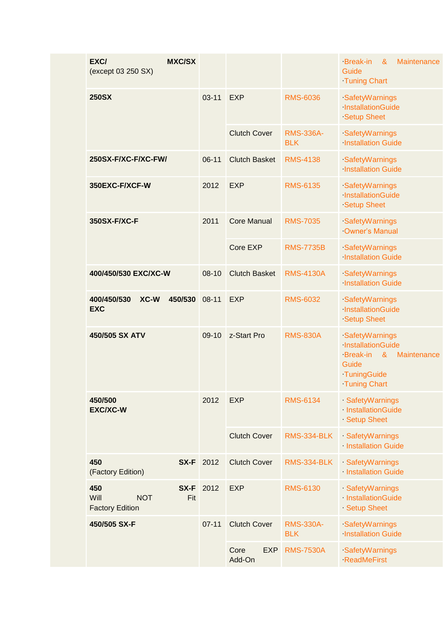| $03 - 11$<br><b>250SX</b><br><b>EXP</b><br><b>RMS-6036</b><br>SafetyWarnings<br>InstallationGuide<br><b>Setup Sheet</b><br><b>Clutch Cover</b><br><b>RMS-336A-</b><br>SafetyWarnings<br><b>Installation Guide</b><br><b>BLK</b><br><b>Clutch Basket</b><br>$06-11$<br><b>RMS-4138</b><br>250SX-F/XC-F/XC-FW/<br>SafetyWarnings<br><b>Installation Guide</b><br>350EXC-F/XCF-W<br>2012<br><b>EXP</b><br><b>RMS-6135</b><br>SafetyWarnings<br>InstallationGuide<br><b>Setup Sheet</b><br>350SX-F/XC-F<br><b>Core Manual</b><br>2011<br><b>RMS-7035</b><br>SafetyWarnings<br><b>Owner's Manual</b><br>Core EXP<br><b>RMS-7735B</b><br>SafetyWarnings<br><b>Installation Guide</b><br>400/450/530 EXC/XC-W<br>$08 - 10$<br><b>Clutch Basket</b><br><b>RMS-4130A</b><br>SafetyWarnings<br><b>Installation Guide</b><br>400/450/530<br>XC-W<br>450/530<br><b>EXP</b><br><b>RMS-6032</b><br>$08 - 11$<br>SafetyWarnings<br><b>EXC</b><br>InstallationGuide<br><b>Setup Sheet</b><br>450/505 SX ATV<br>$09-10$<br>z-Start Pro<br><b>RMS-830A</b><br>SafetyWarnings<br>InstallationGuide<br>Break-in &<br>Maintenance<br>Guide<br>TuningGuide<br><b>Tuning Chart</b><br>2012<br>450/500<br><b>EXP</b><br><b>RMS-6134</b><br>SafetyWarnings<br>InstallationGuide<br><b>EXC/XC-W</b><br>Setup Sheet<br><b>Clutch Cover</b><br><b>RMS-334-BLK</b><br>SafetyWarnings<br><b>Installation Guide</b><br>450<br>2012<br><b>SX-F</b><br><b>Clutch Cover</b><br>SafetyWarnings<br><b>RMS-334-BLK</b><br><b>Installation Guide</b><br>(Factory Edition)<br>2012<br>450<br>SX-F<br><b>EXP</b><br><b>RMS-6130</b><br>SafetyWarnings<br>InstallationGuide<br>Will<br><b>NOT</b><br>Fit<br><b>Factory Edition</b><br>Setup Sheet<br><b>Clutch Cover</b><br>450/505 SX-F<br>$07 - 11$<br><b>RMS-330A-</b><br>SafetyWarnings<br><b>Installation Guide</b><br><b>BLK</b><br><b>EXP</b><br>Core<br><b>RMS-7530A</b><br>SafetyWarnings<br>Add-On<br><b>ReadMeFirst</b> | EXC/<br><b>MXC/SX</b><br>(except 03 250 SX) |  | <b>Break-in</b><br>Maintenance<br>&<br>Guide<br><b>Tuning Chart</b> |
|-------------------------------------------------------------------------------------------------------------------------------------------------------------------------------------------------------------------------------------------------------------------------------------------------------------------------------------------------------------------------------------------------------------------------------------------------------------------------------------------------------------------------------------------------------------------------------------------------------------------------------------------------------------------------------------------------------------------------------------------------------------------------------------------------------------------------------------------------------------------------------------------------------------------------------------------------------------------------------------------------------------------------------------------------------------------------------------------------------------------------------------------------------------------------------------------------------------------------------------------------------------------------------------------------------------------------------------------------------------------------------------------------------------------------------------------------------------------------------------------------------------------------------------------------------------------------------------------------------------------------------------------------------------------------------------------------------------------------------------------------------------------------------------------------------------------------------------------------------------------------------------------------------------------------------------------|---------------------------------------------|--|---------------------------------------------------------------------|
|                                                                                                                                                                                                                                                                                                                                                                                                                                                                                                                                                                                                                                                                                                                                                                                                                                                                                                                                                                                                                                                                                                                                                                                                                                                                                                                                                                                                                                                                                                                                                                                                                                                                                                                                                                                                                                                                                                                                           |                                             |  |                                                                     |
|                                                                                                                                                                                                                                                                                                                                                                                                                                                                                                                                                                                                                                                                                                                                                                                                                                                                                                                                                                                                                                                                                                                                                                                                                                                                                                                                                                                                                                                                                                                                                                                                                                                                                                                                                                                                                                                                                                                                           |                                             |  |                                                                     |
|                                                                                                                                                                                                                                                                                                                                                                                                                                                                                                                                                                                                                                                                                                                                                                                                                                                                                                                                                                                                                                                                                                                                                                                                                                                                                                                                                                                                                                                                                                                                                                                                                                                                                                                                                                                                                                                                                                                                           |                                             |  |                                                                     |
|                                                                                                                                                                                                                                                                                                                                                                                                                                                                                                                                                                                                                                                                                                                                                                                                                                                                                                                                                                                                                                                                                                                                                                                                                                                                                                                                                                                                                                                                                                                                                                                                                                                                                                                                                                                                                                                                                                                                           |                                             |  |                                                                     |
|                                                                                                                                                                                                                                                                                                                                                                                                                                                                                                                                                                                                                                                                                                                                                                                                                                                                                                                                                                                                                                                                                                                                                                                                                                                                                                                                                                                                                                                                                                                                                                                                                                                                                                                                                                                                                                                                                                                                           |                                             |  |                                                                     |
|                                                                                                                                                                                                                                                                                                                                                                                                                                                                                                                                                                                                                                                                                                                                                                                                                                                                                                                                                                                                                                                                                                                                                                                                                                                                                                                                                                                                                                                                                                                                                                                                                                                                                                                                                                                                                                                                                                                                           |                                             |  |                                                                     |
|                                                                                                                                                                                                                                                                                                                                                                                                                                                                                                                                                                                                                                                                                                                                                                                                                                                                                                                                                                                                                                                                                                                                                                                                                                                                                                                                                                                                                                                                                                                                                                                                                                                                                                                                                                                                                                                                                                                                           |                                             |  |                                                                     |
|                                                                                                                                                                                                                                                                                                                                                                                                                                                                                                                                                                                                                                                                                                                                                                                                                                                                                                                                                                                                                                                                                                                                                                                                                                                                                                                                                                                                                                                                                                                                                                                                                                                                                                                                                                                                                                                                                                                                           |                                             |  |                                                                     |
|                                                                                                                                                                                                                                                                                                                                                                                                                                                                                                                                                                                                                                                                                                                                                                                                                                                                                                                                                                                                                                                                                                                                                                                                                                                                                                                                                                                                                                                                                                                                                                                                                                                                                                                                                                                                                                                                                                                                           |                                             |  |                                                                     |
|                                                                                                                                                                                                                                                                                                                                                                                                                                                                                                                                                                                                                                                                                                                                                                                                                                                                                                                                                                                                                                                                                                                                                                                                                                                                                                                                                                                                                                                                                                                                                                                                                                                                                                                                                                                                                                                                                                                                           |                                             |  |                                                                     |
|                                                                                                                                                                                                                                                                                                                                                                                                                                                                                                                                                                                                                                                                                                                                                                                                                                                                                                                                                                                                                                                                                                                                                                                                                                                                                                                                                                                                                                                                                                                                                                                                                                                                                                                                                                                                                                                                                                                                           |                                             |  |                                                                     |
|                                                                                                                                                                                                                                                                                                                                                                                                                                                                                                                                                                                                                                                                                                                                                                                                                                                                                                                                                                                                                                                                                                                                                                                                                                                                                                                                                                                                                                                                                                                                                                                                                                                                                                                                                                                                                                                                                                                                           |                                             |  |                                                                     |
|                                                                                                                                                                                                                                                                                                                                                                                                                                                                                                                                                                                                                                                                                                                                                                                                                                                                                                                                                                                                                                                                                                                                                                                                                                                                                                                                                                                                                                                                                                                                                                                                                                                                                                                                                                                                                                                                                                                                           |                                             |  |                                                                     |
|                                                                                                                                                                                                                                                                                                                                                                                                                                                                                                                                                                                                                                                                                                                                                                                                                                                                                                                                                                                                                                                                                                                                                                                                                                                                                                                                                                                                                                                                                                                                                                                                                                                                                                                                                                                                                                                                                                                                           |                                             |  |                                                                     |
|                                                                                                                                                                                                                                                                                                                                                                                                                                                                                                                                                                                                                                                                                                                                                                                                                                                                                                                                                                                                                                                                                                                                                                                                                                                                                                                                                                                                                                                                                                                                                                                                                                                                                                                                                                                                                                                                                                                                           |                                             |  |                                                                     |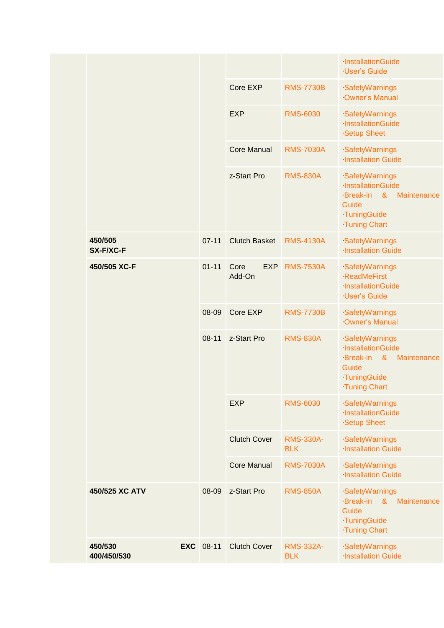|                        |                  |                              |                                | InstallationGuide<br><b>User's Guide</b>                                                                                         |
|------------------------|------------------|------------------------------|--------------------------------|----------------------------------------------------------------------------------------------------------------------------------|
|                        |                  | Core EXP                     | <b>RMS-7730B</b>               | SafetyWarnings<br>Owner's Manual                                                                                                 |
|                        |                  | <b>EXP</b>                   | <b>RMS-6030</b>                | SafetyWarnings<br>InstallationGuide<br><b>Setup Sheet</b>                                                                        |
|                        |                  | <b>Core Manual</b>           | <b>RMS-7030A</b>               | SafetyWarnings<br><b>Installation Guide</b>                                                                                      |
|                        |                  | z-Start Pro                  | <b>RMS-830A</b>                | SafetyWarnings<br>InstallationGuide<br>Break-in<br>$\alpha$<br>Maintenance<br>Guide<br>TuningGuide<br><b>Tuning Chart</b>        |
| 450/505<br>SX-F/XC-F   | $07 - 11$        | <b>Clutch Basket</b>         | <b>RMS-4130A</b>               | SafetyWarnings<br><b>Installation Guide</b>                                                                                      |
| 450/505 XC-F           | $01 - 11$        | Core<br><b>EXP</b><br>Add-On | <b>RMS-7530A</b>               | SafetyWarnings<br><b>ReadMeFirst</b><br>InstallationGuide<br><b>User's Guide</b>                                                 |
|                        | 08-09            | Core EXP                     | <b>RMS-7730B</b>               | SafetyWarnings<br>Owner's Manual                                                                                                 |
|                        | $08 - 11$        | z-Start Pro                  | <b>RMS-830A</b>                | SafetyWarnings<br>InstallationGuide<br>$\alpha$<br><b>Break-in</b><br>Maintenance<br>Guide<br>TuningGuide<br><b>Tuning Chart</b> |
|                        |                  | <b>EXP</b>                   | <b>RMS-6030</b>                | SafetyWarnings<br>InstallationGuide<br><b>Setup Sheet</b>                                                                        |
|                        |                  | <b>Clutch Cover</b>          | <b>RMS-330A-</b><br><b>BLK</b> | SafetyWarnings<br><b>Installation Guide</b>                                                                                      |
|                        |                  | <b>Core Manual</b>           | <b>RMS-7030A</b>               | SafetyWarnings<br><b>Installation Guide</b>                                                                                      |
| 450/525 XC ATV         | 08-09            | z-Start Pro                  | <b>RMS-850A</b>                | SafetyWarnings<br><b>Break-in</b><br>8 <sub>1</sub><br>Maintenance<br>Guide<br>TuningGuide<br><b>Tuning Chart</b>                |
| 450/530<br>400/450/530 | <b>EXC</b> 08-11 | <b>Clutch Cover</b>          | <b>RMS-332A-</b><br><b>BLK</b> | SafetyWarnings<br><b>Installation Guide</b>                                                                                      |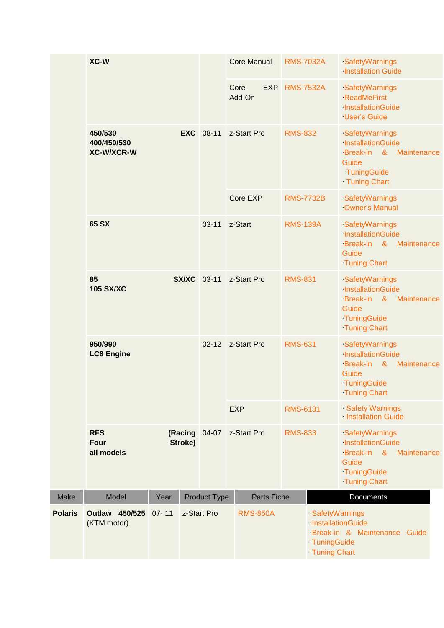|                                             | XC-W                                                                         |           |             |                     | <b>Core Manual</b>         |                    | <b>RMS-7032A</b> |                                                                                                                         | SafetyWarnings<br><b>Installation Guide</b>                                                                |             |                                                                                                                   |             |
|---------------------------------------------|------------------------------------------------------------------------------|-----------|-------------|---------------------|----------------------------|--------------------|------------------|-------------------------------------------------------------------------------------------------------------------------|------------------------------------------------------------------------------------------------------------|-------------|-------------------------------------------------------------------------------------------------------------------|-------------|
|                                             |                                                                              |           |             |                     | Core<br>Add-On             | <b>EXP</b>         | <b>RMS-7532A</b> |                                                                                                                         | SafetyWarnings<br><b>ReadMeFirst</b><br>InstallationGuide<br><b>User's Guide</b>                           |             |                                                                                                                   |             |
| 450/530<br>400/450/530<br><b>XC-W/XCR-W</b> |                                                                              |           |             | <b>EXC</b> 08-11    | z-Start Pro                |                    | <b>RMS-832</b>   |                                                                                                                         | SafetyWarnings<br>InstallationGuide<br>Break-in<br>$\alpha$<br>Guide<br>TuningGuide<br>Tuning Chart        | Maintenance |                                                                                                                   |             |
|                                             |                                                                              |           |             |                     | Core EXP                   |                    | <b>RMS-7732B</b> |                                                                                                                         | SafetyWarnings<br>Owner's Manual                                                                           |             |                                                                                                                   |             |
|                                             | 65 SX                                                                        |           |             | $03 - 11$           | z-Start<br><b>RMS-139A</b> |                    |                  | SafetyWarnings<br>InstallationGuide<br><b>Break-in</b><br>Guide<br><b>Tuning Chart</b>                                  | & Maintenance                                                                                              |             |                                                                                                                   |             |
|                                             | 85<br><b>SX/XC</b> 03-11<br><b>105 SX/XC</b><br>950/990<br><b>LC8 Engine</b> |           |             |                     | z-Start Pro                |                    | <b>RMS-831</b>   |                                                                                                                         | SafetyWarnings<br>InstallationGuide<br>Break-in<br>$\alpha$<br>Guide<br>TuningGuide<br><b>Tuning Chart</b> | Maintenance |                                                                                                                   |             |
|                                             |                                                                              |           |             |                     | $02 - 12$                  |                    | z-Start Pro      |                                                                                                                         | <b>RMS-631</b>                                                                                             |             | SafetyWarnings<br>InstallationGuide<br><b>Break-in</b><br>$\alpha$<br>Guide<br>TuningGuide<br><b>Tuning Chart</b> | Maintenance |
|                                             |                                                                              |           |             |                     | <b>EXP</b>                 |                    | <b>RMS-6131</b>  |                                                                                                                         | Safety Warnings<br>Installation Guide                                                                      |             |                                                                                                                   |             |
|                                             | <b>RFS</b><br>(Racing<br>Stroke)<br><b>Four</b><br>all models                |           | 04-07       | z-Start Pro         |                            | <b>RMS-833</b>     |                  | SafetyWarnings<br>InstallationGuide<br>Break-in<br>$\boldsymbol{\alpha}$<br>Guide<br>TuningGuide<br><b>Tuning Chart</b> | Maintenance                                                                                                |             |                                                                                                                   |             |
| Make                                        | Model                                                                        | Year      |             | <b>Product Type</b> |                            | <b>Parts Fiche</b> |                  |                                                                                                                         | Documents                                                                                                  |             |                                                                                                                   |             |
| <b>Polaris</b>                              | <b>Outlaw 450/525</b><br>(KTM motor)                                         | $07 - 11$ | z-Start Pro |                     |                            | <b>RMS-850A</b>    |                  | SafetyWarnings<br>InstallationGuide<br>TuningGuide<br><b>Tuning Chart</b>                                               | Break-in & Maintenance                                                                                     | Guide       |                                                                                                                   |             |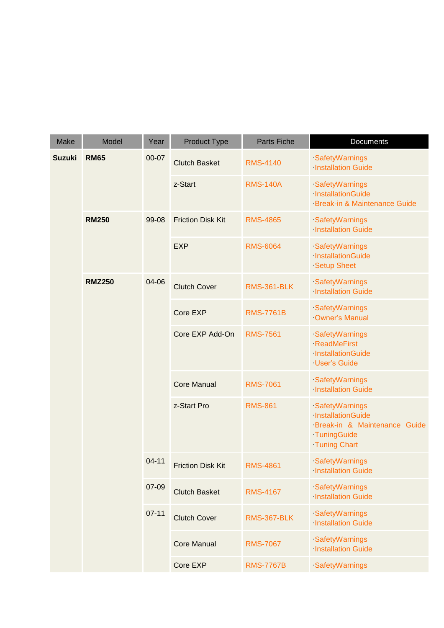| <b>Make</b>   | Model         | Year                     | <b>Product Type</b>      | <b>Parts Fiche</b>                                                         | Documents                                                                                                 |
|---------------|---------------|--------------------------|--------------------------|----------------------------------------------------------------------------|-----------------------------------------------------------------------------------------------------------|
| <b>Suzuki</b> | <b>RM65</b>   | 00-07                    | <b>Clutch Basket</b>     | <b>RMS-4140</b>                                                            | SafetyWarnings<br><b>Installation Guide</b>                                                               |
|               |               | z-Start                  | <b>RMS-140A</b>          | SafetyWarnings<br><b>InstallationGuide</b><br>Break-in & Maintenance Guide |                                                                                                           |
| <b>RM250</b>  | 99-08         | <b>Friction Disk Kit</b> | <b>RMS-4865</b>          | SafetyWarnings<br><b>Installation Guide</b>                                |                                                                                                           |
|               |               | <b>EXP</b>               | <b>RMS-6064</b>          | SafetyWarnings<br>InstallationGuide<br><b>Setup Sheet</b>                  |                                                                                                           |
|               | <b>RMZ250</b> | 04-06                    | <b>Clutch Cover</b>      | <b>RMS-361-BLK</b>                                                         | SafetyWarnings<br><b>Installation Guide</b>                                                               |
|               |               | Core EXP                 | <b>RMS-7761B</b>         | SafetyWarnings<br>Owner's Manual                                           |                                                                                                           |
|               |               |                          | Core EXP Add-On          | <b>RMS-7561</b>                                                            | SafetyWarnings<br><b>ReadMeFirst</b><br>InstallationGuide<br><b>User's Guide</b>                          |
|               |               |                          | <b>Core Manual</b>       | <b>RMS-7061</b>                                                            | SafetyWarnings<br><b>Installation Guide</b>                                                               |
|               |               |                          | z-Start Pro              | <b>RMS-861</b>                                                             | SafetyWarnings<br>InstallationGuide<br>Break-in & Maintenance Guide<br>TuningGuide<br><b>Tuning Chart</b> |
|               |               | $04 - 11$                | <b>Friction Disk Kit</b> | <b>RMS-4861</b>                                                            | SafetyWarnings<br><b>Installation Guide</b>                                                               |
|               |               | 07-09                    | <b>Clutch Basket</b>     | <b>RMS-4167</b>                                                            | SafetyWarnings<br><b>Installation Guide</b>                                                               |
|               |               | $07 - 11$                | <b>Clutch Cover</b>      | <b>RMS-367-BLK</b>                                                         | SafetyWarnings<br><b>Installation Guide</b>                                                               |
|               |               |                          | <b>Core Manual</b>       | <b>RMS-7067</b>                                                            | SafetyWarnings<br><b>Installation Guide</b>                                                               |
|               |               |                          | Core EXP                 | <b>RMS-7767B</b>                                                           | SafetyWarnings                                                                                            |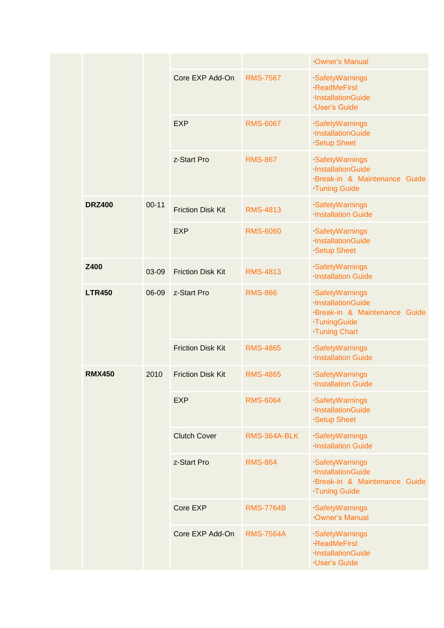|  |                       |           |                          |                  | Owner's Manual                                                                                            |
|--|-----------------------|-----------|--------------------------|------------------|-----------------------------------------------------------------------------------------------------------|
|  |                       |           | Core EXP Add-On          | <b>RMS-7567</b>  | SafetyWarnings<br><b>ReadMeFirst</b><br>InstallationGuide<br><b>User's Guide</b>                          |
|  |                       |           | <b>EXP</b>               | <b>RMS-6067</b>  | SafetyWarnings<br>InstallationGuide<br><b>Setup Sheet</b>                                                 |
|  |                       |           | z-Start Pro              | <b>RMS-867</b>   | SafetyWarnings<br>InstallationGuide<br>Break-in & Maintenance Guide<br><b>Tuning Guide</b>                |
|  | <b>DRZ400</b>         | $00 - 11$ | <b>Friction Disk Kit</b> | <b>RMS-4813</b>  | SafetyWarnings<br><b>Installation Guide</b>                                                               |
|  |                       |           | <b>EXP</b>               | <b>RMS-6060</b>  | SafetyWarnings<br>InstallationGuide<br><b>Setup Sheet</b>                                                 |
|  | Z400<br><b>LTR450</b> | 03-09     | <b>Friction Disk Kit</b> | <b>RMS-4813</b>  | SafetyWarnings<br><b>Installation Guide</b>                                                               |
|  |                       | 06-09     | z-Start Pro              | <b>RMS-866</b>   | SafetyWarnings<br>InstallationGuide<br>Break-in & Maintenance Guide<br>TuningGuide<br><b>Tuning Chart</b> |
|  |                       |           | <b>Friction Disk Kit</b> | <b>RMS-4865</b>  | SafetyWarnings<br><b>Installation Guide</b>                                                               |
|  | <b>RMX450</b>         | 2010      | <b>Friction Disk Kit</b> | <b>RMS-4865</b>  | SafetyWarnings<br><b>Installation Guide</b>                                                               |
|  |                       |           | <b>EXP</b>               | <b>RMS-6064</b>  | SafetyWarnings<br>InstallationGuide<br><b>Setup Sheet</b>                                                 |
|  |                       |           | <b>Clutch Cover</b>      | RMS-364A-BLK     | SafetyWarnings<br><b>Installation Guide</b>                                                               |
|  |                       |           | z-Start Pro              | <b>RMS-864</b>   | SafetyWarnings<br>InstallationGuide<br>Break-in & Maintenance Guide<br><b>Tuning Guide</b>                |
|  |                       |           | Core EXP                 | <b>RMS-7764B</b> | SafetyWarnings<br>Owner's Manual                                                                          |
|  |                       |           |                          | Core EXP Add-On  | <b>RMS-7564A</b>                                                                                          |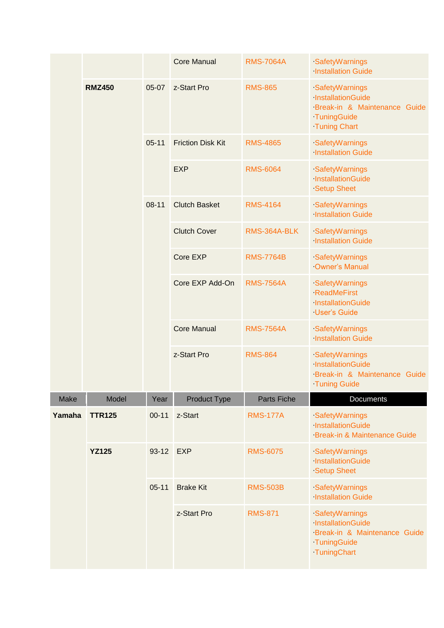|        |               |                 | <b>Core Manual</b>       | <b>RMS-7064A</b>                                                                 | SafetyWarnings<br><b>Installation Guide</b>                                                               |
|--------|---------------|-----------------|--------------------------|----------------------------------------------------------------------------------|-----------------------------------------------------------------------------------------------------------|
|        | <b>RMZ450</b> | $05-07$         | z-Start Pro              | <b>RMS-865</b>                                                                   | SafetyWarnings<br>InstallationGuide<br>Break-in & Maintenance Guide<br>TuningGuide<br><b>Tuning Chart</b> |
|        |               | $05 - 11$       | <b>Friction Disk Kit</b> | <b>RMS-4865</b>                                                                  | SafetyWarnings<br><b>Installation Guide</b>                                                               |
|        |               |                 | <b>EXP</b>               | <b>RMS-6064</b>                                                                  | SafetyWarnings<br>InstallationGuide<br><b>Setup Sheet</b>                                                 |
|        |               | $08 - 11$       | <b>Clutch Basket</b>     | <b>RMS-4164</b>                                                                  | SafetyWarnings<br><b>Installation Guide</b>                                                               |
|        |               |                 | <b>Clutch Cover</b>      | RMS-364A-BLK                                                                     | SafetyWarnings<br><b>Installation Guide</b>                                                               |
|        |               |                 | Core EXP                 | <b>RMS-7764B</b>                                                                 | SafetyWarnings<br><b>Owner's Manual</b>                                                                   |
|        |               | Core EXP Add-On | <b>RMS-7564A</b>         | SafetyWarnings<br><b>ReadMeFirst</b><br>InstallationGuide<br><b>User's Guide</b> |                                                                                                           |
|        |               |                 | <b>Core Manual</b>       | <b>RMS-7564A</b>                                                                 | SafetyWarnings<br><b>Installation Guide</b>                                                               |
|        |               |                 | z-Start Pro              | <b>RMS-864</b>                                                                   | SafetyWarnings<br>InstallationGuide<br>Break-in & Maintenance Guide<br><b>Tuning Guide</b>                |
| Make   | Model         | Year            | <b>Product Type</b>      | <b>Parts Fiche</b>                                                               | <b>Documents</b>                                                                                          |
| Yamaha | <b>TTR125</b> | $00 - 11$       | z-Start                  | <b>RMS-177A</b>                                                                  | SafetyWarnings<br>InstallationGuide<br>Break-in & Maintenance Guide                                       |
|        | <b>YZ125</b>  | $93 - 12$       | <b>EXP</b>               | <b>RMS-6075</b>                                                                  | SafetyWarnings<br>InstallationGuide<br><b>Setup Sheet</b>                                                 |
|        |               | $05 - 11$       | <b>Brake Kit</b>         | <b>RMS-503B</b>                                                                  | SafetyWarnings<br><b>Installation Guide</b>                                                               |
|        |               |                 | z-Start Pro              | <b>RMS-871</b>                                                                   | SafetyWarnings<br>InstallationGuide<br>Break-in & Maintenance Guide<br>TuningGuide<br>TuningChart         |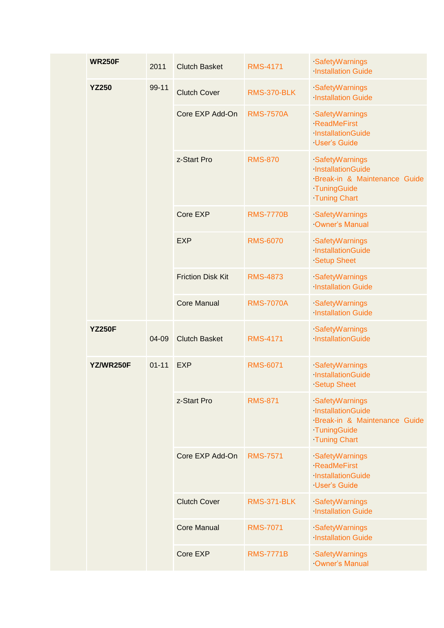|  | <b>WR250F</b> | 2011      | <b>Clutch Basket</b>     | <b>RMS-4171</b>    | SafetyWarnings<br><b>Installation Guide</b>                                                               |                                  |  |  |  |  |                 |                 |                                                                                  |
|--|---------------|-----------|--------------------------|--------------------|-----------------------------------------------------------------------------------------------------------|----------------------------------|--|--|--|--|-----------------|-----------------|----------------------------------------------------------------------------------|
|  | <b>YZ250</b>  | 99-11     | <b>Clutch Cover</b>      | <b>RMS-370-BLK</b> | SafetyWarnings<br><b>Installation Guide</b>                                                               |                                  |  |  |  |  |                 |                 |                                                                                  |
|  |               |           | Core EXP Add-On          | <b>RMS-7570A</b>   | SafetyWarnings<br><b>ReadMeFirst</b><br>InstallationGuide<br><b>User's Guide</b>                          |                                  |  |  |  |  |                 |                 |                                                                                  |
|  |               |           | z-Start Pro              | <b>RMS-870</b>     | SafetyWarnings<br>InstallationGuide<br>Break-in & Maintenance Guide<br>TuningGuide<br><b>Tuning Chart</b> |                                  |  |  |  |  |                 |                 |                                                                                  |
|  |               |           | Core EXP                 | <b>RMS-7770B</b>   | SafetyWarnings<br><b>Owner's Manual</b>                                                                   |                                  |  |  |  |  |                 |                 |                                                                                  |
|  |               | 04-09     | <b>EXP</b>               | <b>RMS-6070</b>    | SafetyWarnings<br>InstallationGuide<br><b>Setup Sheet</b>                                                 |                                  |  |  |  |  |                 |                 |                                                                                  |
|  |               |           | <b>Friction Disk Kit</b> | <b>RMS-4873</b>    | SafetyWarnings<br><b>Installation Guide</b>                                                               |                                  |  |  |  |  |                 |                 |                                                                                  |
|  |               |           | <b>Core Manual</b>       | <b>RMS-7070A</b>   | SafetyWarnings<br><b>Installation Guide</b>                                                               |                                  |  |  |  |  |                 |                 |                                                                                  |
|  | <b>YZ250F</b> |           | <b>Clutch Basket</b>     | <b>RMS-4171</b>    | SafetyWarnings<br>InstallationGuide                                                                       |                                  |  |  |  |  |                 |                 |                                                                                  |
|  | YZ/WR250F     | $01 - 11$ | <b>EXP</b>               | <b>RMS-6071</b>    | SafetyWarnings<br>InstallationGuide<br><b>Setup Sheet</b>                                                 |                                  |  |  |  |  |                 |                 |                                                                                  |
|  |               |           | z-Start Pro              | <b>RMS-871</b>     | SafetyWarnings<br>InstallationGuide<br>Break-in & Maintenance Guide<br>TuningGuide<br><b>Tuning Chart</b> |                                  |  |  |  |  |                 |                 |                                                                                  |
|  |               |           |                          |                    |                                                                                                           |                                  |  |  |  |  | Core EXP Add-On | <b>RMS-7571</b> | SafetyWarnings<br><b>ReadMeFirst</b><br>InstallationGuide<br><b>User's Guide</b> |
|  |               |           | <b>Clutch Cover</b>      | <b>RMS-371-BLK</b> | SafetyWarnings<br><b>Installation Guide</b>                                                               |                                  |  |  |  |  |                 |                 |                                                                                  |
|  |               |           | <b>Core Manual</b>       | <b>RMS-7071</b>    | SafetyWarnings<br><b>Installation Guide</b>                                                               |                                  |  |  |  |  |                 |                 |                                                                                  |
|  |               |           |                          | Core EXP           | <b>RMS-7771B</b>                                                                                          | SafetyWarnings<br>Owner's Manual |  |  |  |  |                 |                 |                                                                                  |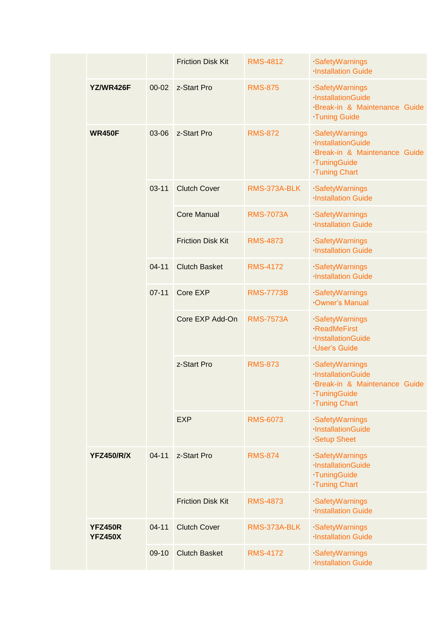|                                  |           | <b>Friction Disk Kit</b> | <b>RMS-4812</b>  | SafetyWarnings<br><b>Installation Guide</b>                                                               |
|----------------------------------|-----------|--------------------------|------------------|-----------------------------------------------------------------------------------------------------------|
| YZ/WR426F                        | $00 - 02$ | z-Start Pro              | <b>RMS-875</b>   | SafetyWarnings<br>InstallationGuide<br>Break-in & Maintenance Guide<br><b>Tuning Guide</b>                |
| <b>WR450F</b>                    | 03-06     | z-Start Pro              | <b>RMS-872</b>   | SafetyWarnings<br>InstallationGuide<br>Break-in & Maintenance Guide<br>TuningGuide<br><b>Tuning Chart</b> |
|                                  | $03 - 11$ | <b>Clutch Cover</b>      | RMS-373A-BLK     | SafetyWarnings<br><b>Installation Guide</b>                                                               |
|                                  |           | <b>Core Manual</b>       | <b>RMS-7073A</b> | SafetyWarnings<br><b>Installation Guide</b>                                                               |
|                                  |           | <b>Friction Disk Kit</b> | <b>RMS-4873</b>  | SafetyWarnings<br><b>Installation Guide</b>                                                               |
|                                  | $04 - 11$ | <b>Clutch Basket</b>     | <b>RMS-4172</b>  | SafetyWarnings<br><b>Installation Guide</b>                                                               |
|                                  | $07 - 11$ | Core EXP                 | <b>RMS-7773B</b> | SafetyWarnings<br><b>Owner's Manual</b>                                                                   |
|                                  |           | Core EXP Add-On          | <b>RMS-7573A</b> | SafetyWarnings<br><b>ReadMeFirst</b><br>InstallationGuide<br><b>User's Guide</b>                          |
|                                  |           | z-Start Pro              | <b>RMS-873</b>   | SafetyWarnings<br>InstallationGuide<br>Break-in & Maintenance Guide<br>TuningGuide<br><b>Tuning Chart</b> |
|                                  |           | <b>EXP</b>               | <b>RMS-6073</b>  | SafetyWarnings<br>InstallationGuide<br><b>Setup Sheet</b>                                                 |
| <b>YFZ450/R/X</b>                | $04 - 11$ | z-Start Pro              | <b>RMS-874</b>   | SafetyWarnings<br>InstallationGuide<br>TuningGuide<br><b>Tuning Chart</b>                                 |
|                                  |           | <b>Friction Disk Kit</b> | <b>RMS-4873</b>  | SafetyWarnings<br><b>Installation Guide</b>                                                               |
| <b>YFZ450R</b><br><b>YFZ450X</b> | $04 - 11$ | <b>Clutch Cover</b>      | RMS-373A-BLK     | SafetyWarnings<br><b>Installation Guide</b>                                                               |
|                                  | 09-10     | <b>Clutch Basket</b>     | <b>RMS-4172</b>  | SafetyWarnings<br><b>Installation Guide</b>                                                               |